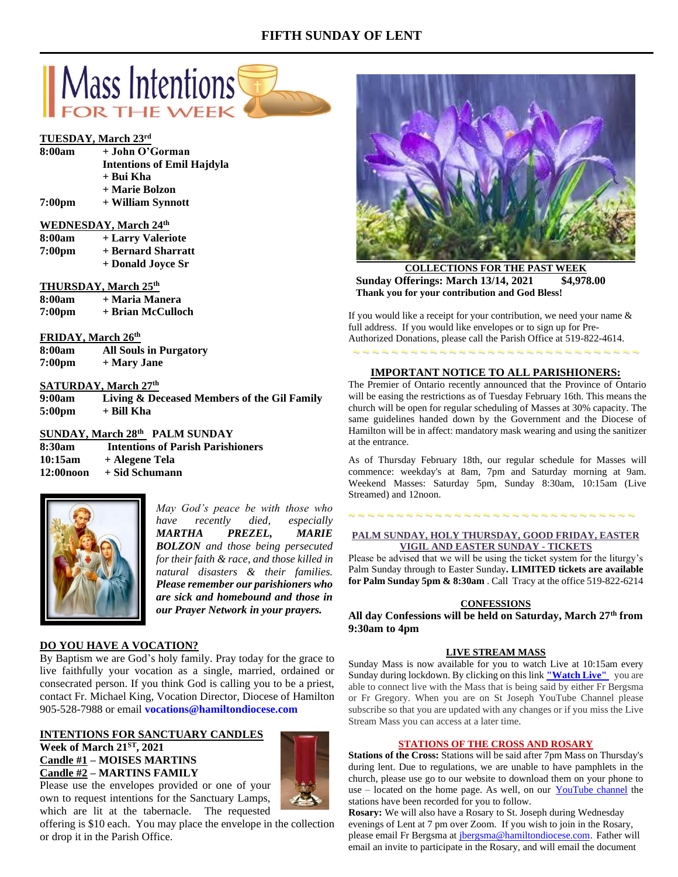# **FIFTH SUNDAY OF LENT**



#### **TUESDAY, March 23rd**

- **8:00am + John O'Gorman Intentions of Emil Hajdyla + Bui Kha**
	- **+ Marie Bolzon**
- **7:00pm + William Synnott**

### **WEDNESDAY, March 24th**

| 8:00am             | + Larry Valeriote  |
|--------------------|--------------------|
| 7:00 <sub>pm</sub> | + Bernard Sharratt |
|                    |                    |

**+ Donald Joyce Sr**

#### **THURSDAY, March 25th**

- **8:00am + Maria Manera**
- **7:00pm + Brian McCulloch**

# **FRIDAY, March 26th**

**8:00am All Souls in Purgatory 7:00pm + Mary Jane**

### **SATURDAY, March 27 th**

**9:00am Living & Deceased Members of the Gil Family 5:00pm + Bill Kha**

**SUNDAY, March 28 th PALM SUNDAY**

**8:30am Intentions of Parish Parishioners 10:15am + Alegene Tela 12:00noon + Sid Schumann**



*May God's peace be with those who have recently died, especially MARTHA PREZEL, MARIE BOLZON and those being persecuted for their faith & race, and those killed in natural disasters & their families. Please remember our parishioners who are sick and homebound and those in our Prayer Network in your prayers.*

# **DO YOU HAVE A VOCATION?**

By Baptism we are God's holy family. Pray today for the grace to live faithfully your vocation as a single, married, ordained or consecrated person. If you think God is calling you to be a priest, contact Fr. Michael King, Vocation Director, Diocese of Hamilton 905-528-7988 or email **vocations@hamiltondiocese.com** 

# **INTENTIONS FOR SANCTUARY CANDLES Week of March 21ST, 2021 Candle #1 – MOISES MARTINS Candle #2 – MARTINS FAMILY**

Please use the envelopes provided or one of your own to request intentions for the Sanctuary Lamps, which are lit at the tabernacle. The requested

offering is \$10 each. You may place the envelope in the collection or drop it in the Parish Office.



**COLLECTIONS FOR THE PAST WEEK Sunday Offerings: March 13/14, 2021 \$4,978.00 Thank you for your contribution and God Bless!**

If you would like a receipt for your contribution, we need your name & full address. If you would like envelopes or to sign up for Pre-Authorized Donations, please call the Parish Office at 519-822-4614.

# **IMPORTANT NOTICE TO ALL PARISHIONERS:**

~ ~ ~ ~ ~ ~ ~ ~ ~ ~ ~ ~ ~ ~ ~ ~ ~ ~ ~ ~ ~ ~ ~ ~ ~ ~ ~ ~ ~ ~

The Premier of Ontario recently announced that the Province of Ontario will be easing the restrictions as of Tuesday February 16th. This means the church will be open for regular scheduling of Masses at 30% capacity. The same guidelines handed down by the Government and the Diocese of Hamilton will be in affect: mandatory mask wearing and using the sanitizer at the entrance.

As of Thursday February 18th, our regular schedule for Masses will commence: weekday's at 8am, 7pm and Saturday morning at 9am. Weekend Masses: Saturday 5pm, Sunday 8:30am, 10:15am (Live Streamed) and 12noon.

### **PALM SUNDAY, HOLY THURSDAY, GOOD FRIDAY, EASTER VIGIL AND EASTER SUNDAY - TICKETS**

~ ~ ~ ~ ~ ~ ~ ~ ~ ~ ~ ~ ~ ~ ~ ~ ~ ~ ~ ~ ~ ~ ~ ~ ~ ~ ~ ~ ~ ~

Please be advised that we will be using the ticket system for the liturgy's Palm Sunday through to Easter Sunday**. LIMITED tickets are available for Palm Sunday 5pm & 8:30am** . Call Tracy at the office 519-822-6214

#### **CONFESSIONS**

**All day Confessions will be held on Saturday, March 27th from 9:30am to 4pm**

#### **LIVE STREAM MASS**

Sunday Mass is now available for you to watch Live at 10:15am every Sunday during lockdown. By clicking on this link **["Watch](https://www.youtube.com/channel/UCL59hxegD__FDJSdMDrt31w) Live"** you are able to connect live with the Mass that is being said by either Fr Bergsma or Fr Gregory. When you are on St Joseph YouTube Channel please subscribe so that you are updated with any changes or if you miss the Live Stream Mass you can access at a later time.

#### **STATIONS OF THE CROSS AND ROSARY**

**Stations of the Cross:** Stations will be said after 7pm Mass on Thursday's during lent. Due to regulations, we are unable to have pamphlets in the church, please use go to our website to download them on your phone to use – located on the home page. As well, on our [YouTube channel](https://www.youtube.com/channel/UCL59hxegD__FDJSdMDrt31w) the stations have been recorded for you to follow.

**Rosary:** We will also have a Rosary to St. Joseph during Wednesday evenings of Lent at 7 pm over Zoom. If you wish to join in the Rosary, please email Fr Bergsma at [jbergsma@hamiltondiocese.com.](mailto:jbergsma@hamiltondiocese.com) Father will email an invite to participate in the Rosary, and will email the document